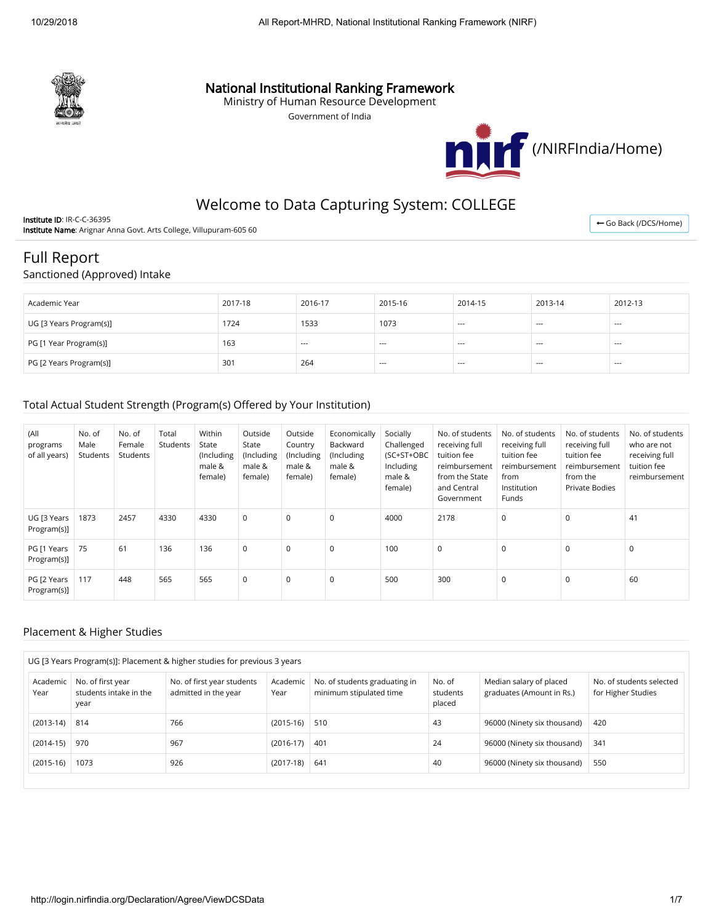

## National Institutional Ranking Framework

Ministry of Human Resource Development

Government of India



# Welcome to Data Capturing System: COLLEGE

Institute ID: IR-C-C-36395 Institute Name: Arignar Anna Govt. Arts College, Villupuram-605 60

← [Go Back \(/DCS/Home\)](http://login.nirfindia.org/DCS/Home)

## Full Report

Sanctioned (Approved) Intake

| Academic Year           | 2017-18 | 2016-17       | 2015-16 | 2014-15 | 2013-14 | 2012-13 |
|-------------------------|---------|---------------|---------|---------|---------|---------|
| UG [3 Years Program(s)] | 1724    | 1533          | 1073    | $--$    | $--$    | $- - -$ |
| PG [1 Year Program(s)]  | 163     | $\sim$ $\sim$ | $---$   | $--$    | $--$    | $--$    |
| PG [2 Years Program(s)] | 301     | 264           | $---$   | $- - -$ | $--$    | $- - -$ |

#### Total Actual Student Strength (Program(s) Offered by Your Institution)

| (All<br>programs<br>of all years) | No. of<br>Male<br>Students | No. of<br>Female<br>Students | Total<br>Students | Within<br>State<br>(Including<br>male &<br>female) | Outside<br>State<br>(Including<br>male &<br>female) | Outside<br>Country<br>(Including<br>male &<br>female) | Economically<br>Backward<br>(Including<br>male &<br>female) | Socially<br>Challenged<br>(SC+ST+OBC<br>Including<br>male &<br>female) | No. of students<br>receiving full<br>tuition fee<br>reimbursement<br>from the State<br>and Central<br>Government | No. of students<br>receiving full<br>tuition fee<br>reimbursement<br>from<br>Institution<br>Funds | No. of students<br>receiving full<br>tuition fee<br>reimbursement<br>from the<br>Private Bodies | No. of students<br>who are not<br>receiving full<br>tuition fee<br>reimbursement |
|-----------------------------------|----------------------------|------------------------------|-------------------|----------------------------------------------------|-----------------------------------------------------|-------------------------------------------------------|-------------------------------------------------------------|------------------------------------------------------------------------|------------------------------------------------------------------------------------------------------------------|---------------------------------------------------------------------------------------------------|-------------------------------------------------------------------------------------------------|----------------------------------------------------------------------------------|
| UG [3 Years<br>Program(s)]        | 1873                       | 2457                         | 4330              | 4330                                               | $\mathbf 0$                                         | 0                                                     | $\mathbf 0$                                                 | 4000                                                                   | 2178                                                                                                             | $\mathbf 0$                                                                                       | $\mathbf 0$                                                                                     | 41                                                                               |
| PG [1 Years<br>Program(s)]        | 75                         | 61                           | 136               | 136                                                | $\mathbf 0$                                         | 0                                                     | $\mathbf 0$                                                 | 100                                                                    | 0                                                                                                                | $\mathbf 0$                                                                                       | $\mathbf 0$                                                                                     | 0                                                                                |
| PG [2 Years<br>Program(s)]        | 117                        | 448                          | 565               | 565                                                | $\mathbf 0$                                         | 0                                                     | 0                                                           | 500                                                                    | 300                                                                                                              | 0                                                                                                 | $\mathbf 0$                                                                                     | 60                                                                               |

#### Placement & Higher Studies

| UG [3 Years Program(s)]: Placement & higher studies for previous 3 years |                                             |                                                    |                  |                                                          |                              |                                                      |                                                |  |  |  |  |
|--------------------------------------------------------------------------|---------------------------------------------|----------------------------------------------------|------------------|----------------------------------------------------------|------------------------------|------------------------------------------------------|------------------------------------------------|--|--|--|--|
| Academic<br>Year<br>year                                                 | No. of first year<br>students intake in the | No. of first year students<br>admitted in the year | Academic<br>Year | No. of students graduating in<br>minimum stipulated time | No. of<br>students<br>placed | Median salary of placed<br>graduates (Amount in Rs.) | No. of students selected<br>for Higher Studies |  |  |  |  |
| (2013-14)<br>814                                                         |                                             | 766                                                | $(2015-16)$      | 510                                                      | 43                           | 96000 (Ninety six thousand)                          | 420                                            |  |  |  |  |
| $(2014-15)$<br>970                                                       |                                             | 967                                                | $(2016-17)$      | 401                                                      | 24                           | 96000 (Ninety six thousand)                          | 341                                            |  |  |  |  |
| 1073<br>$(2015-16)$                                                      |                                             | 926                                                | $(2017-18)$      | 641                                                      | 40                           | 96000 (Ninety six thousand)                          | 550                                            |  |  |  |  |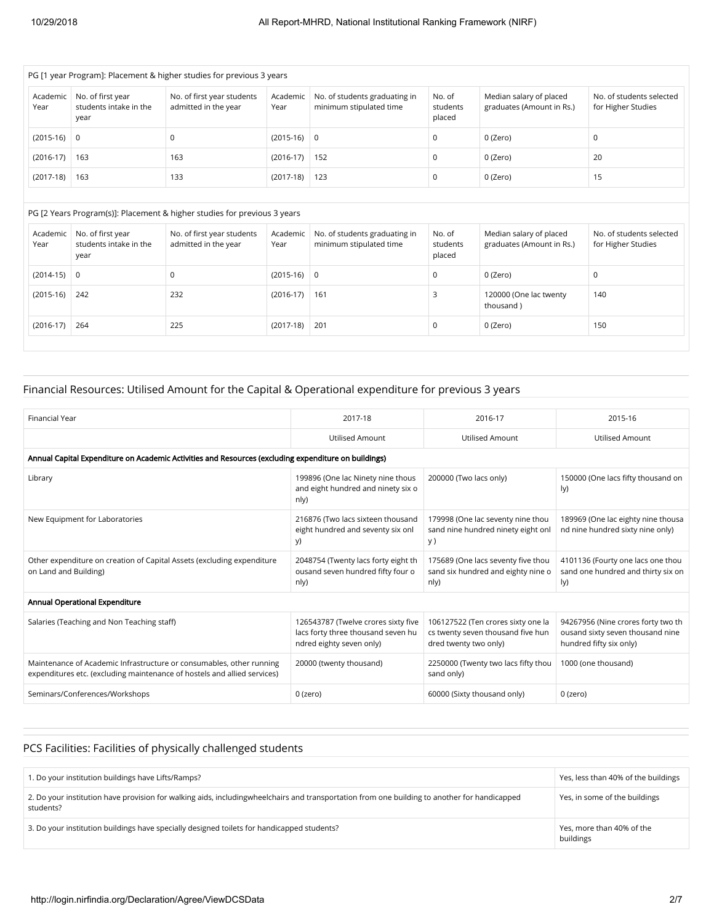| PG [1 year Program]: Placement & higher studies for previous 3 years |                                                     |                                                    |                  |                                                          |                              |                                                      |                                                |  |  |  |  |
|----------------------------------------------------------------------|-----------------------------------------------------|----------------------------------------------------|------------------|----------------------------------------------------------|------------------------------|------------------------------------------------------|------------------------------------------------|--|--|--|--|
| Academic<br>Year                                                     | No. of first year<br>students intake in the<br>year | No. of first year students<br>admitted in the year | Academic<br>Year | No. of students graduating in<br>minimum stipulated time | No. of<br>students<br>placed | Median salary of placed<br>graduates (Amount in Rs.) | No. of students selected<br>for Higher Studies |  |  |  |  |
| $(2015-16)$ 0                                                        |                                                     | 0                                                  | $(2015-16)$ 0    |                                                          | 0                            | 0 (Zero)                                             | 0                                              |  |  |  |  |
| $(2016-17)$                                                          | 163                                                 | 163                                                | $(2016-17)$ 152  |                                                          | 0                            | 0 (Zero)                                             | 20                                             |  |  |  |  |
| $(2017-18)$                                                          | 163                                                 | 133                                                | $(2017-18)$      | 123                                                      | 0                            | 0 (Zero)                                             | 15                                             |  |  |  |  |

#### PG [2 Years Program(s)]: Placement & higher studies for previous 3 years

| Academic<br>Year | No. of first year<br>students intake in the<br>year | No. of first year students<br>admitted in the year | Academic<br>Year | No. of students graduating in<br>minimum stipulated time | No. of<br>students<br>placed | Median salary of placed<br>graduates (Amount in Rs.) | No. of students selected<br>for Higher Studies |
|------------------|-----------------------------------------------------|----------------------------------------------------|------------------|----------------------------------------------------------|------------------------------|------------------------------------------------------|------------------------------------------------|
| $(2014-15)$      | 0                                                   | 0                                                  | $(2015-16)$ 0    |                                                          | U                            | 0 (Zero)                                             | v                                              |
| $(2015-16)$      | 242                                                 | 232                                                | $(2016-17)$      | 161                                                      |                              | 120000 (One lac twenty<br>thousand)                  | 140                                            |
| $(2016-17)$      | 264                                                 | 225                                                | $(2017-18)$      | 201                                                      |                              | 0 (Zero)                                             | 150                                            |

## Financial Resources: Utilised Amount for the Capital & Operational expenditure for previous 3 years

| Financial Year                                                                                                                                   | 2017-18                                                                                               | 2016-17                                                                                          | 2015-16                                                                                           |
|--------------------------------------------------------------------------------------------------------------------------------------------------|-------------------------------------------------------------------------------------------------------|--------------------------------------------------------------------------------------------------|---------------------------------------------------------------------------------------------------|
|                                                                                                                                                  | <b>Utilised Amount</b>                                                                                | Utilised Amount                                                                                  | <b>Utilised Amount</b>                                                                            |
| Annual Capital Expenditure on Academic Activities and Resources (excluding expenditure on buildings)                                             |                                                                                                       |                                                                                                  |                                                                                                   |
| Library                                                                                                                                          | 199896 (One lac Ninety nine thous<br>and eight hundred and ninety six o<br>nly)                       | 200000 (Two lacs only)                                                                           | 150000 (One lacs fifty thousand on<br>ly)                                                         |
| New Equipment for Laboratories                                                                                                                   | 216876 (Two lacs sixteen thousand<br>eight hundred and seventy six onl<br>y)                          | 179998 (One lac seventy nine thou<br>sand nine hundred ninety eight onl<br>y)                    | 189969 (One lac eighty nine thousa<br>nd nine hundred sixty nine only)                            |
| Other expenditure on creation of Capital Assets (excluding expenditure<br>on Land and Building)                                                  | 2048754 (Twenty lacs forty eight th<br>ousand seven hundred fifty four o<br>n y)                      | 175689 (One lacs seventy five thou<br>sand six hundred and eighty nine o<br>nly)                 | 4101136 (Fourty one lacs one thou<br>sand one hundred and thirty six on<br>ly)                    |
| Annual Operational Expenditure                                                                                                                   |                                                                                                       |                                                                                                  |                                                                                                   |
| Salaries (Teaching and Non Teaching staff)                                                                                                       | 126543787 (Twelve crores sixty five<br>lacs forty three thousand seven hu<br>ndred eighty seven only) | 106127522 (Ten crores sixty one la<br>cs twenty seven thousand five hun<br>dred twenty two only) | 94267956 (Nine crores forty two th<br>ousand sixty seven thousand nine<br>hundred fifty six only) |
| Maintenance of Academic Infrastructure or consumables, other running<br>expenditures etc. (excluding maintenance of hostels and allied services) | 20000 (twenty thousand)                                                                               | 2250000 (Twenty two lacs fifty thou<br>sand only)                                                | 1000 (one thousand)                                                                               |
| Seminars/Conferences/Workshops                                                                                                                   | 0 (zero)                                                                                              | 60000 (Sixty thousand only)                                                                      | 0 (zero)                                                                                          |

## PCS Facilities: Facilities of physically challenged students

| 1. Do your institution buildings have Lifts/Ramps?                                                                                                        | Yes, less than 40% of the buildings    |
|-----------------------------------------------------------------------------------------------------------------------------------------------------------|----------------------------------------|
| 2. Do your institution have provision for walking aids, includingwheelchairs and transportation from one building to another for handicapped<br>students? | Yes, in some of the buildings          |
| 3. Do your institution buildings have specially designed toilets for handicapped students?                                                                | Yes, more than 40% of the<br>buildings |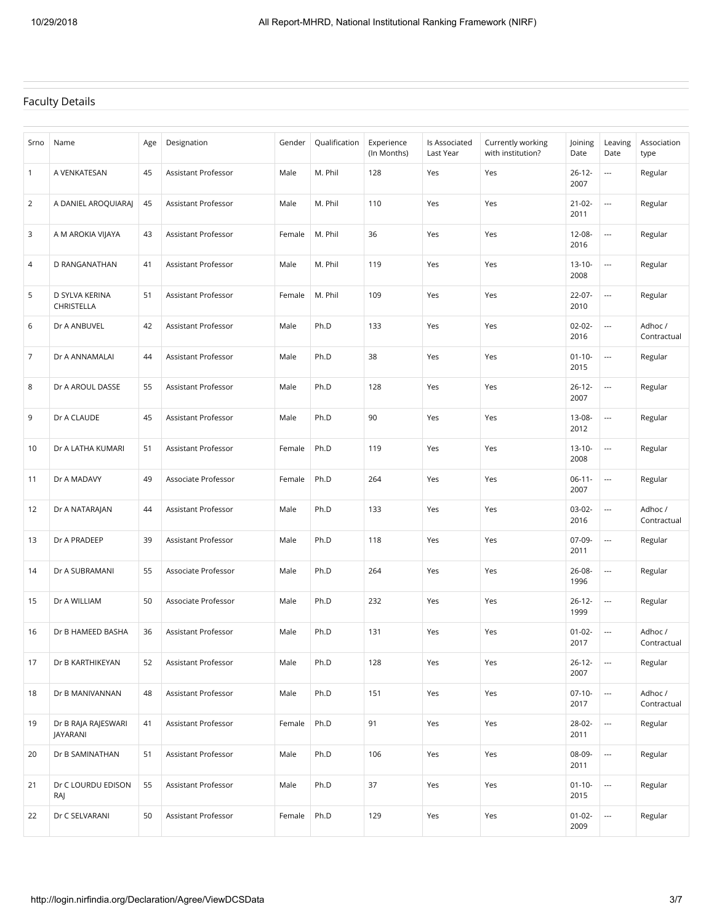### Faculty Details

| Srno           | Name                            | Age | Designation         | Gender | Qualification | Experience<br>(In Months) | Is Associated<br>Last Year | Currently working<br>with institution? | Joining<br>Date     | Leaving<br>Date          | Association<br>type    |
|----------------|---------------------------------|-----|---------------------|--------|---------------|---------------------------|----------------------------|----------------------------------------|---------------------|--------------------------|------------------------|
| $\mathbf{1}$   | A VENKATESAN                    | 45  | Assistant Professor | Male   | M. Phil       | 128                       | Yes                        | Yes                                    | $26 - 12 -$<br>2007 | $\overline{\phantom{a}}$ | Regular                |
| $\overline{2}$ | A DANIEL AROQUIARAJ             | 45  | Assistant Professor | Male   | M. Phil       | 110                       | Yes                        | Yes                                    | $21 - 02 -$<br>2011 | $\overline{\phantom{a}}$ | Regular                |
| 3              | A M AROKIA VIJAYA               | 43  | Assistant Professor | Female | M. Phil       | 36                        | Yes                        | Yes                                    | $12 - 08 -$<br>2016 | ---                      | Regular                |
| 4              | D RANGANATHAN                   | 41  | Assistant Professor | Male   | M. Phil       | 119                       | Yes                        | Yes                                    | $13 - 10 -$<br>2008 | $\overline{\phantom{a}}$ | Regular                |
| 5              | D SYLVA KERINA<br>CHRISTELLA    | 51  | Assistant Professor | Female | M. Phil       | 109                       | Yes                        | Yes                                    | $22 - 07 -$<br>2010 | $\overline{a}$           | Regular                |
| 6              | Dr A ANBUVEL                    | 42  | Assistant Professor | Male   | Ph.D          | 133                       | Yes                        | Yes                                    | $02 - 02 -$<br>2016 | $\overline{\phantom{a}}$ | Adhoc/<br>Contractual  |
| $\overline{7}$ | Dr A ANNAMALAI                  | 44  | Assistant Professor | Male   | Ph.D          | 38                        | Yes                        | Yes                                    | $01 - 10 -$<br>2015 | $\overline{\phantom{a}}$ | Regular                |
| 8              | Dr A AROUL DASSE                | 55  | Assistant Professor | Male   | Ph.D          | 128                       | Yes                        | Yes                                    | $26 - 12 -$<br>2007 | $\hspace{0.05cm} \ldots$ | Regular                |
| 9              | Dr A CLAUDE                     | 45  | Assistant Professor | Male   | Ph.D          | 90                        | Yes                        | Yes                                    | 13-08-<br>2012      | $\overline{\phantom{a}}$ | Regular                |
| 10             | Dr A LATHA KUMARI               | 51  | Assistant Professor | Female | Ph.D          | 119                       | Yes                        | Yes                                    | $13 - 10 -$<br>2008 | ---                      | Regular                |
| 11             | Dr A MADAVY                     | 49  | Associate Professor | Female | Ph.D          | 264                       | Yes                        | Yes                                    | $06-11-$<br>2007    | $\overline{\phantom{a}}$ | Regular                |
| 12             | Dr A NATARAJAN                  | 44  | Assistant Professor | Male   | Ph.D          | 133                       | Yes                        | Yes                                    | $03-02-$<br>2016    | $\overline{\phantom{a}}$ | Adhoc/<br>Contractual  |
| 13             | Dr A PRADEEP                    | 39  | Assistant Professor | Male   | Ph.D          | 118                       | Yes                        | Yes                                    | 07-09-<br>2011      | $\hspace{0.05cm} \ldots$ | Regular                |
| 14             | Dr A SUBRAMANI                  | 55  | Associate Professor | Male   | Ph.D          | 264                       | Yes                        | Yes                                    | $26 - 08 -$<br>1996 | $\overline{\phantom{a}}$ | Regular                |
| 15             | Dr A WILLIAM                    | 50  | Associate Professor | Male   | Ph.D          | 232                       | Yes                        | Yes                                    | $26 - 12 -$<br>1999 | $\overline{\phantom{a}}$ | Regular                |
| 16             | Dr B HAMEED BASHA               | 36  | Assistant Professor | Male   | Ph.D          | 131                       | Yes                        | Yes                                    | $01 - 02 -$<br>2017 | ---                      | Adhoc /<br>Contractual |
| 17             | Dr B KARTHIKEYAN                | 52  | Assistant Professor | Male   | Ph.D          | 128                       | Yes                        | Yes                                    | $26 - 12 -$<br>2007 | $\hspace{0.05cm} \ldots$ | Regular                |
| 18             | Dr B MANIVANNAN                 | 48  | Assistant Professor | Male   | Ph.D          | 151                       | Yes                        | Yes                                    | $07-10-$<br>2017    |                          | Adhoc/<br>Contractual  |
| 19             | Dr B RAJA RAJESWARI<br>JAYARANI | 41  | Assistant Professor | Female | Ph.D          | 91                        | Yes                        | Yes                                    | 28-02-<br>2011      |                          | Regular                |
| 20             | Dr B SAMINATHAN                 | 51  | Assistant Professor | Male   | Ph.D          | 106                       | Yes                        | Yes                                    | 08-09-<br>2011      | $\overline{\phantom{a}}$ | Regular                |
| 21             | Dr C LOURDU EDISON<br>RAJ       | 55  | Assistant Professor | Male   | Ph.D          | 37                        | Yes                        | Yes                                    | $01 - 10 -$<br>2015 |                          | Regular                |
| 22             | Dr C SELVARANI                  | 50  | Assistant Professor | Female | Ph.D          | 129                       | Yes                        | Yes                                    | $01 - 02 -$<br>2009 |                          | Regular                |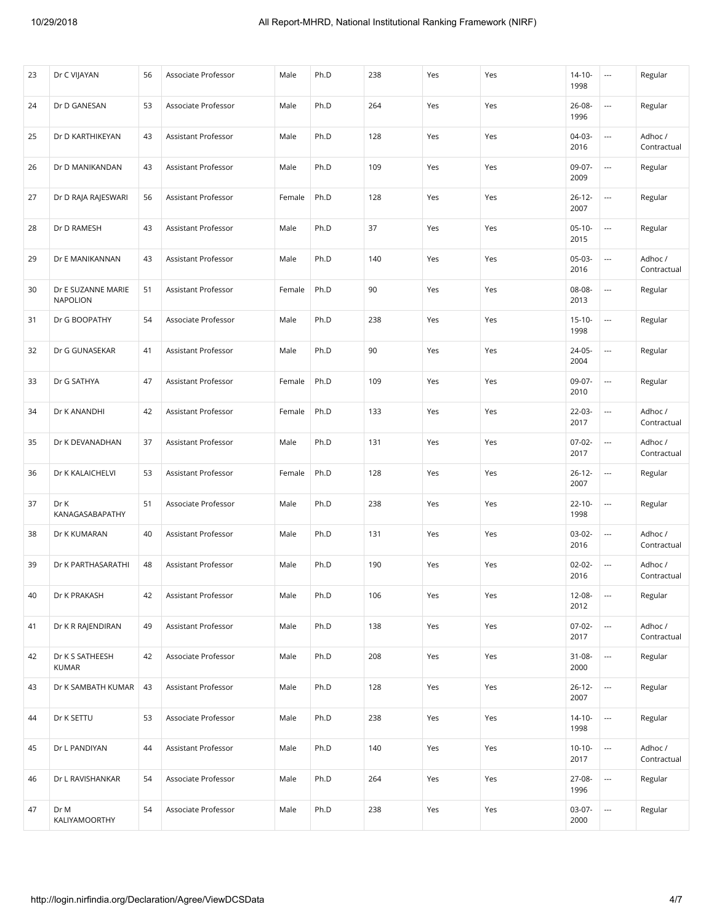| 23 | Dr C VIJAYAN                    | 56 | Associate Professor | Male   | Ph.D | 238 | Yes | Yes | $14 - 10 -$<br>1998 | $\cdots$                 | Regular                |
|----|---------------------------------|----|---------------------|--------|------|-----|-----|-----|---------------------|--------------------------|------------------------|
| 24 | Dr D GANESAN                    | 53 | Associate Professor | Male   | Ph.D | 264 | Yes | Yes | $26 - 08 -$<br>1996 | ---                      | Regular                |
| 25 | Dr D KARTHIKEYAN                | 43 | Assistant Professor | Male   | Ph.D | 128 | Yes | Yes | $04-03-$<br>2016    | ---                      | Adhoc /<br>Contractual |
| 26 | Dr D MANIKANDAN                 | 43 | Assistant Professor | Male   | Ph.D | 109 | Yes | Yes | 09-07-<br>2009      | $\hspace{0.05cm} \ldots$ | Regular                |
| 27 | Dr D RAJA RAJESWARI             | 56 | Assistant Professor | Female | Ph.D | 128 | Yes | Yes | $26 - 12 -$<br>2007 | ---                      | Regular                |
| 28 | Dr D RAMESH                     | 43 | Assistant Professor | Male   | Ph.D | 37  | Yes | Yes | $05-10-$<br>2015    | $\hspace{0.05cm} \ldots$ | Regular                |
| 29 | Dr E MANIKANNAN                 | 43 | Assistant Professor | Male   | Ph.D | 140 | Yes | Yes | $05-03-$<br>2016    | ---                      | Adhoc /<br>Contractual |
| 30 | Dr E SUZANNE MARIE<br>NAPOLION  | 51 | Assistant Professor | Female | Ph.D | 90  | Yes | Yes | 08-08-<br>2013      |                          | Regular                |
| 31 | Dr G BOOPATHY                   | 54 | Associate Professor | Male   | Ph.D | 238 | Yes | Yes | $15 - 10 -$<br>1998 | $\sim$                   | Regular                |
| 32 | Dr G GUNASEKAR                  | 41 | Assistant Professor | Male   | Ph.D | 90  | Yes | Yes | 24-05-<br>2004      | ---                      | Regular                |
| 33 | Dr G SATHYA                     | 47 | Assistant Professor | Female | Ph.D | 109 | Yes | Yes | 09-07-<br>2010      | ---                      | Regular                |
| 34 | Dr K ANANDHI                    | 42 | Assistant Professor | Female | Ph.D | 133 | Yes | Yes | $22 - 03 -$<br>2017 | ---                      | Adhoc/<br>Contractual  |
| 35 | Dr K DEVANADHAN                 | 37 | Assistant Professor | Male   | Ph.D | 131 | Yes | Yes | $07 - 02 -$<br>2017 | ---                      | Adhoc /<br>Contractual |
| 36 | Dr K KALAICHELVI                | 53 | Assistant Professor | Female | Ph.D | 128 | Yes | Yes | $26 - 12 -$<br>2007 | $\hspace{0.05cm} \ldots$ | Regular                |
| 37 | Dr K<br>KANAGASABAPATHY         | 51 | Associate Professor | Male   | Ph.D | 238 | Yes | Yes | $22 - 10 -$<br>1998 | ---                      | Regular                |
| 38 | Dr K KUMARAN                    | 40 | Assistant Professor | Male   | Ph.D | 131 | Yes | Yes | $03-02-$<br>2016    |                          | Adhoc/<br>Contractual  |
| 39 | Dr K PARTHASARATHI              | 48 | Assistant Professor | Male   | Ph.D | 190 | Yes | Yes | $02 - 02 -$<br>2016 | ---                      | Adhoc/<br>Contractual  |
| 40 | Dr K PRAKASH                    | 42 | Assistant Professor | Male   | Ph.D | 106 | Yes | Yes | 12-08-<br>2012      | $\hspace{0.05cm} \ldots$ | Regular                |
| 41 | Dr K R RAJENDIRAN               | 49 | Assistant Professor | Male   | Ph.D | 138 | Yes | Yes | $07-02-$<br>2017    |                          | Adhoc /<br>Contractual |
| 42 | Dr K S SATHEESH<br><b>KUMAR</b> | 42 | Associate Professor | Male   | Ph.D | 208 | Yes | Yes | $31 - 08 -$<br>2000 | $\overline{\phantom{a}}$ | Regular                |
| 43 | Dr K SAMBATH KUMAR              | 43 | Assistant Professor | Male   | Ph.D | 128 | Yes | Yes | $26 - 12 -$<br>2007 |                          | Regular                |
| 44 | Dr K SETTU                      | 53 | Associate Professor | Male   | Ph.D | 238 | Yes | Yes | $14 - 10 -$<br>1998 | $\overline{\phantom{a}}$ | Regular                |
| 45 | Dr L PANDIYAN                   | 44 | Assistant Professor | Male   | Ph.D | 140 | Yes | Yes | $10-10-$<br>2017    | $\overline{\phantom{a}}$ | Adhoc/<br>Contractual  |
| 46 | Dr L RAVISHANKAR                | 54 | Associate Professor | Male   | Ph.D | 264 | Yes | Yes | 27-08-<br>1996      |                          | Regular                |
| 47 | Dr M<br>KALIYAMOORTHY           | 54 | Associate Professor | Male   | Ph.D | 238 | Yes | Yes | 03-07-<br>2000      | $\overline{\phantom{a}}$ | Regular                |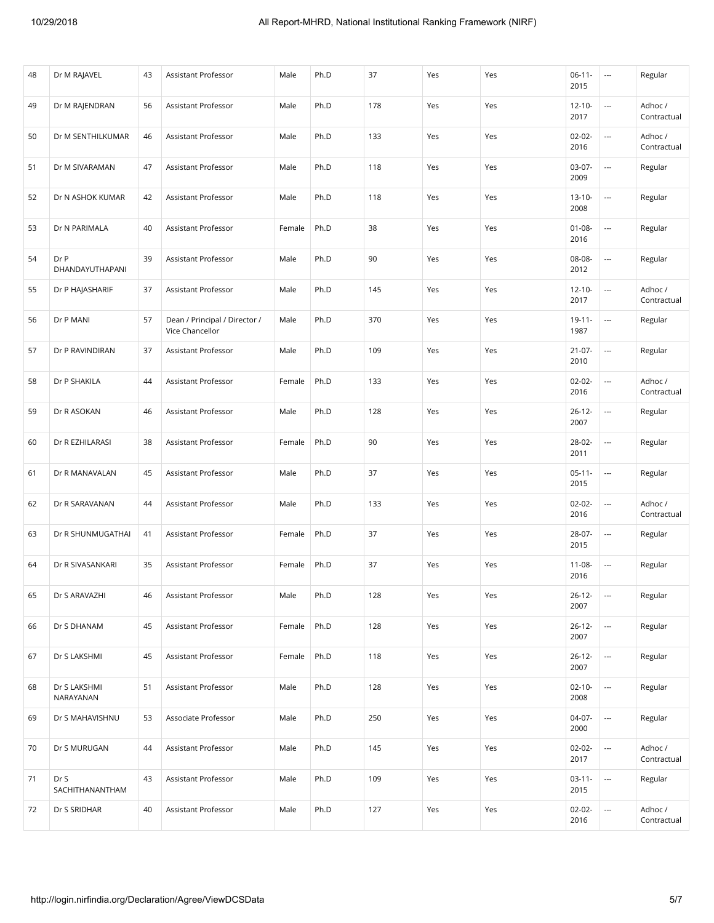| 48 | Dr M RAJAVEL              | 43 | Assistant Professor                              | Male   | Ph.D | 37  | Yes | Yes | $06-11-$<br>2015    | $\overline{\phantom{a}}$ | Regular                |
|----|---------------------------|----|--------------------------------------------------|--------|------|-----|-----|-----|---------------------|--------------------------|------------------------|
| 49 | Dr M RAJENDRAN            | 56 | Assistant Professor                              | Male   | Ph.D | 178 | Yes | Yes | $12 - 10 -$<br>2017 | ---                      | Adhoc/<br>Contractual  |
| 50 | Dr M SENTHILKUMAR         | 46 | Assistant Professor                              | Male   | Ph.D | 133 | Yes | Yes | $02 - 02 -$<br>2016 | ---                      | Adhoc/<br>Contractual  |
| 51 | Dr M SIVARAMAN            | 47 | Assistant Professor                              | Male   | Ph.D | 118 | Yes | Yes | $03-07-$<br>2009    |                          | Regular                |
| 52 | Dr N ASHOK KUMAR          | 42 | Assistant Professor                              | Male   | Ph.D | 118 | Yes | Yes | $13 - 10 -$<br>2008 | ---                      | Regular                |
| 53 | Dr N PARIMALA             | 40 | Assistant Professor                              | Female | Ph.D | 38  | Yes | Yes | $01 - 08 -$<br>2016 |                          | Regular                |
| 54 | Dr P<br>DHANDAYUTHAPANI   | 39 | Assistant Professor                              | Male   | Ph.D | 90  | Yes | Yes | 08-08-<br>2012      | ---                      | Regular                |
| 55 | Dr P HAJASHARIF           | 37 | Assistant Professor                              | Male   | Ph.D | 145 | Yes | Yes | $12 - 10 -$<br>2017 |                          | Adhoc /<br>Contractual |
| 56 | Dr P MANI                 | 57 | Dean / Principal / Director /<br>Vice Chancellor | Male   | Ph.D | 370 | Yes | Yes | $19 - 11 -$<br>1987 | ---                      | Regular                |
| 57 | Dr P RAVINDIRAN           | 37 | Assistant Professor                              | Male   | Ph.D | 109 | Yes | Yes | $21 - 07 -$<br>2010 | ---                      | Regular                |
| 58 | Dr P SHAKILA              | 44 | Assistant Professor                              | Female | Ph.D | 133 | Yes | Yes | $02 - 02 -$<br>2016 | ---                      | Adhoc/<br>Contractual  |
| 59 | Dr R ASOKAN               | 46 | Assistant Professor                              | Male   | Ph.D | 128 | Yes | Yes | $26 - 12 -$<br>2007 |                          | Regular                |
| 60 | Dr R EZHILARASI           | 38 | Assistant Professor                              | Female | Ph.D | 90  | Yes | Yes | 28-02-<br>2011      | ---                      | Regular                |
| 61 | Dr R MANAVALAN            | 45 | Assistant Professor                              | Male   | Ph.D | 37  | Yes | Yes | $05-11-$<br>2015    |                          | Regular                |
| 62 | Dr R SARAVANAN            | 44 | Assistant Professor                              | Male   | Ph.D | 133 | Yes | Yes | $02 - 02 -$<br>2016 | ---                      | Adhoc/<br>Contractual  |
| 63 | Dr R SHUNMUGATHAI         | 41 | Assistant Professor                              | Female | Ph.D | 37  | Yes | Yes | 28-07-<br>2015      |                          | Regular                |
| 64 | Dr R SIVASANKARI          | 35 | Assistant Professor                              | Female | Ph.D | 37  | Yes | Yes | $11 - 08 -$<br>2016 | ---                      | Regular                |
| 65 | Dr S ARAVAZHI             | 46 | Assistant Professor                              | Male   | Ph.D | 128 | Yes | Yes | $26 - 12 -$<br>2007 |                          | Regular                |
| 66 | Dr S DHANAM               | 45 | Assistant Professor                              | Female | Ph.D | 128 | Yes | Yes | $26 - 12 -$<br>2007 | ---                      | Regular                |
| 67 | Dr S LAKSHMI              | 45 | Assistant Professor                              | Female | Ph.D | 118 | Yes | Yes | $26 - 12 -$<br>2007 |                          | Regular                |
| 68 | Dr S LAKSHMI<br>NARAYANAN | 51 | Assistant Professor                              | Male   | Ph.D | 128 | Yes | Yes | $02 - 10 -$<br>2008 |                          | Regular                |
| 69 | Dr S MAHAVISHNU           | 53 | Associate Professor                              | Male   | Ph.D | 250 | Yes | Yes | 04-07-<br>2000      |                          | Regular                |
| 70 | Dr S MURUGAN              | 44 | Assistant Professor                              | Male   | Ph.D | 145 | Yes | Yes | $02 - 02 -$<br>2017 | ---                      | Adhoc/<br>Contractual  |
| 71 | Dr S<br>SACHITHANANTHAM   | 43 | Assistant Professor                              | Male   | Ph.D | 109 | Yes | Yes | $03-11-$<br>2015    | ---                      | Regular                |
| 72 | Dr S SRIDHAR              | 40 | Assistant Professor                              | Male   | Ph.D | 127 | Yes | Yes | $02 - 02 -$<br>2016 | ---                      | Adhoc /<br>Contractual |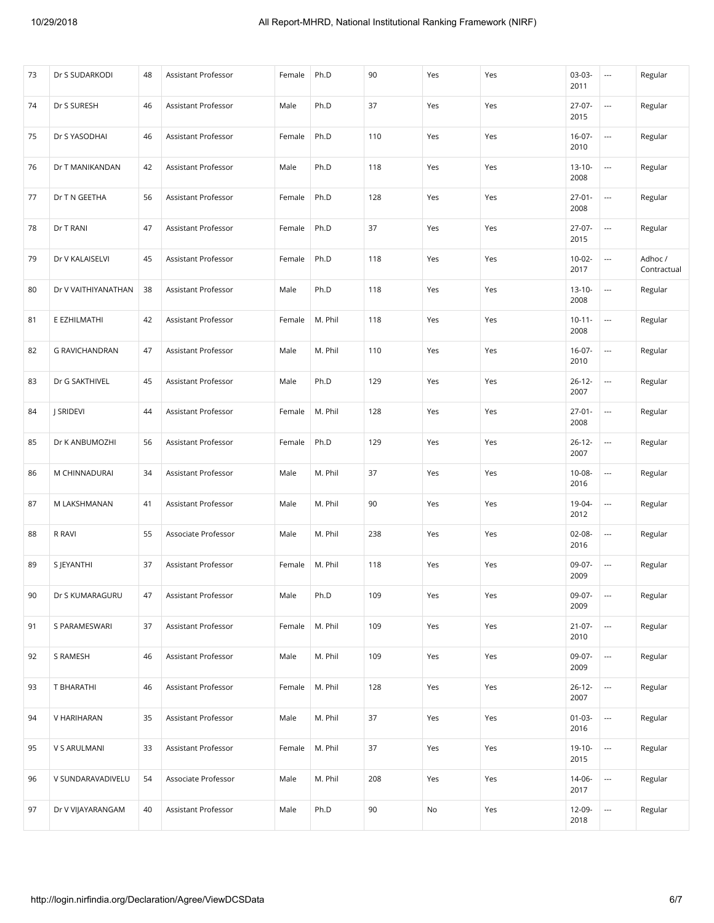| 73 | Dr S SUDARKODI        | 48 | Assistant Professor | Female | Ph.D    | 90  | Yes | Yes | $03-03-$<br>2011    | $\overline{\phantom{a}}$ | Regular                |
|----|-----------------------|----|---------------------|--------|---------|-----|-----|-----|---------------------|--------------------------|------------------------|
| 74 | Dr S SURESH           | 46 | Assistant Professor | Male   | Ph.D    | 37  | Yes | Yes | $27-07-$<br>2015    | $\sim$                   | Regular                |
| 75 | Dr S YASODHAI         | 46 | Assistant Professor | Female | Ph.D    | 110 | Yes | Yes | $16-07-$<br>2010    | $\sim$                   | Regular                |
| 76 | Dr T MANIKANDAN       | 42 | Assistant Professor | Male   | Ph.D    | 118 | Yes | Yes | $13 - 10 -$<br>2008 | ---                      | Regular                |
| 77 | Dr T N GEETHA         | 56 | Assistant Professor | Female | Ph.D    | 128 | Yes | Yes | $27 - 01 -$<br>2008 | $\sim$                   | Regular                |
| 78 | Dr T RANI             | 47 | Assistant Professor | Female | Ph.D    | 37  | Yes | Yes | $27-07-$<br>2015    | $\hspace{0.05cm} \ldots$ | Regular                |
| 79 | Dr V KALAISELVI       | 45 | Assistant Professor | Female | Ph.D    | 118 | Yes | Yes | $10-02-$<br>2017    | ---                      | Adhoc /<br>Contractual |
| 80 | Dr V VAITHIYANATHAN   | 38 | Assistant Professor | Male   | Ph.D    | 118 | Yes | Yes | $13 - 10 -$<br>2008 | $\overline{a}$           | Regular                |
| 81 | E EZHILMATHI          | 42 | Assistant Professor | Female | M. Phil | 118 | Yes | Yes | $10 - 11 -$<br>2008 | $\hspace{0.05cm} \ldots$ | Regular                |
| 82 | <b>G RAVICHANDRAN</b> | 47 | Assistant Professor | Male   | M. Phil | 110 | Yes | Yes | $16-07-$<br>2010    | $\hspace{0.05cm} \ldots$ | Regular                |
| 83 | Dr G SAKTHIVEL        | 45 | Assistant Professor | Male   | Ph.D    | 129 | Yes | Yes | $26 - 12 -$<br>2007 | $\sim$                   | Regular                |
| 84 | J SRIDEVI             | 44 | Assistant Professor | Female | M. Phil | 128 | Yes | Yes | $27 - 01 -$<br>2008 | $\sim$                   | Regular                |
| 85 | Dr K ANBUMOZHI        | 56 | Assistant Professor | Female | Ph.D    | 129 | Yes | Yes | $26 - 12 -$<br>2007 | $\sim$                   | Regular                |
| 86 | M CHINNADURAI         | 34 | Assistant Professor | Male   | M. Phil | 37  | Yes | Yes | $10 - 08 -$<br>2016 | $\hspace{0.05cm} \ldots$ | Regular                |
| 87 | M LAKSHMANAN          | 41 | Assistant Professor | Male   | M. Phil | 90  | Yes | Yes | 19-04-<br>2012      | $\sim$                   | Regular                |
| 88 | R RAVI                | 55 | Associate Professor | Male   | M. Phil | 238 | Yes | Yes | 02-08-<br>2016      | $\hspace{0.05cm} \ldots$ | Regular                |
| 89 | S JEYANTHI            | 37 | Assistant Professor | Female | M. Phil | 118 | Yes | Yes | 09-07-<br>2009      | $\sim$                   | Regular                |
| 90 | Dr S KUMARAGURU       | 47 | Assistant Professor | Male   | Ph.D    | 109 | Yes | Yes | 09-07-<br>2009      | $\overline{\phantom{a}}$ | Regular                |
| 91 | S PARAMESWARI         | 37 | Assistant Professor | Female | M. Phil | 109 | Yes | Yes | $21 - 07 -$<br>2010 | $\overline{\phantom{a}}$ | Regular                |
| 92 | S RAMESH              | 46 | Assistant Professor | Male   | M. Phil | 109 | Yes | Yes | 09-07-<br>2009      | $\overline{\phantom{a}}$ | Regular                |
| 93 | T BHARATHI            | 46 | Assistant Professor | Female | M. Phil | 128 | Yes | Yes | $26 - 12 -$<br>2007 | ---                      | Regular                |
| 94 | V HARIHARAN           | 35 | Assistant Professor | Male   | M. Phil | 37  | Yes | Yes | $01 - 03 -$<br>2016 | $\overline{\phantom{a}}$ | Regular                |
| 95 | V S ARULMANI          | 33 | Assistant Professor | Female | M. Phil | 37  | Yes | Yes | $19-10-$<br>2015    | $\overline{\phantom{a}}$ | Regular                |
| 96 | V SUNDARAVADIVELU     | 54 | Associate Professor | Male   | M. Phil | 208 | Yes | Yes | 14-06-<br>2017      |                          | Regular                |
| 97 | Dr V VIJAYARANGAM     | 40 | Assistant Professor | Male   | Ph.D    | 90  | No  | Yes | 12-09-<br>2018      | $\overline{\phantom{a}}$ | Regular                |